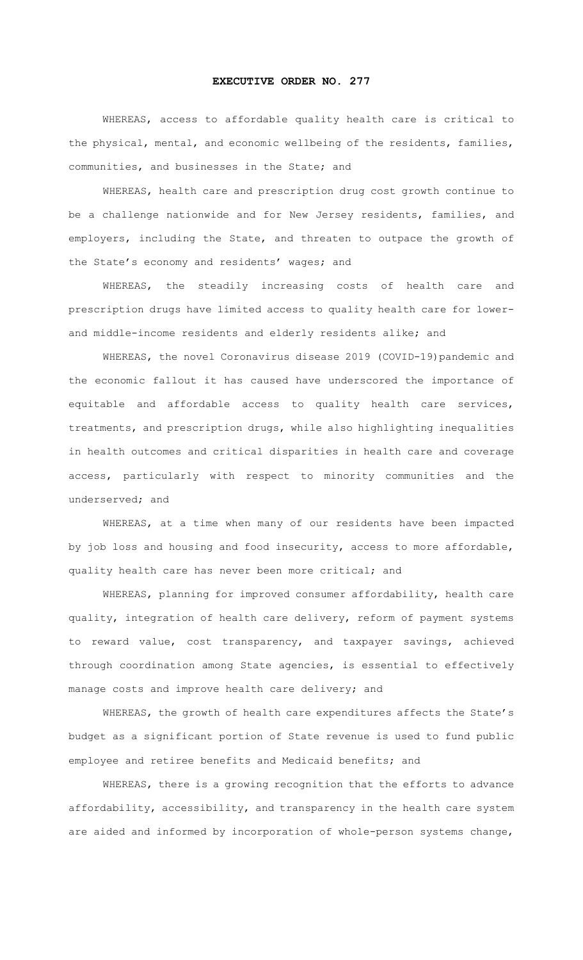## **EXECUTIVE ORDER NO. 277**

WHEREAS, access to affordable quality health care is critical to the physical, mental, and economic wellbeing of the residents, families, communities, and businesses in the State; and

WHEREAS, health care and prescription drug cost growth continue to be a challenge nationwide and for New Jersey residents, families, and employers, including the State, and threaten to outpace the growth of the State's economy and residents' wages; and

WHEREAS, the steadily increasing costs of health care and prescription drugs have limited access to quality health care for lowerand middle-income residents and elderly residents alike; and

WHEREAS, the novel Coronavirus disease 2019 (COVID-19)pandemic and the economic fallout it has caused have underscored the importance of equitable and affordable access to quality health care services, treatments, and prescription drugs, while also highlighting inequalities in health outcomes and critical disparities in health care and coverage access, particularly with respect to minority communities and the underserved; and

WHEREAS, at a time when many of our residents have been impacted by job loss and housing and food insecurity, access to more affordable, quality health care has never been more critical; and

WHEREAS, planning for improved consumer affordability, health care quality, integration of health care delivery, reform of payment systems to reward value, cost transparency, and taxpayer savings, achieved through coordination among State agencies, is essential to effectively manage costs and improve health care delivery; and

WHEREAS, the growth of health care expenditures affects the State's budget as a significant portion of State revenue is used to fund public employee and retiree benefits and Medicaid benefits; and

WHEREAS, there is a growing recognition that the efforts to advance affordability, accessibility, and transparency in the health care system are aided and informed by incorporation of whole-person systems change,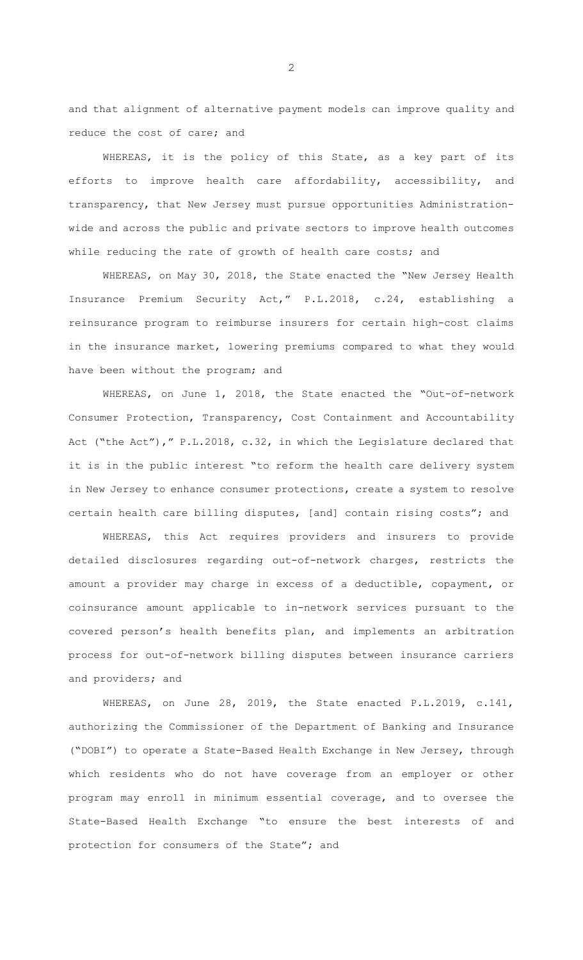and that alignment of alternative payment models can improve quality and reduce the cost of care; and

WHEREAS, it is the policy of this State, as a key part of its efforts to improve health care affordability, accessibility, and transparency, that New Jersey must pursue opportunities Administrationwide and across the public and private sectors to improve health outcomes while reducing the rate of growth of health care costs; and

WHEREAS, on May 30, 2018, the State enacted the "New Jersey Health Insurance Premium Security Act," P.L.2018, c.24, establishing a reinsurance program to reimburse insurers for certain high-cost claims in the insurance market, lowering premiums compared to what they would have been without the program; and

WHEREAS, on June 1, 2018, the State enacted the "Out-of-network Consumer Protection, Transparency, Cost Containment and Accountability Act ("the Act")," P.L.2018, c.32, in which the Legislature declared that it is in the public interest "to reform the health care delivery system in New Jersey to enhance consumer protections, create a system to resolve certain health care billing disputes, [and] contain rising costs"; and

WHEREAS, this Act requires providers and insurers to provide detailed disclosures regarding out-of-network charges, restricts the amount a provider may charge in excess of a deductible, copayment, or coinsurance amount applicable to in-network services pursuant to the covered person's health benefits plan, and implements an arbitration process for out-of-network billing disputes between insurance carriers and providers; and

WHEREAS, on June 28, 2019, the State enacted P.L.2019, c.141, authorizing the Commissioner of the Department of Banking and Insurance ("DOBI") to operate a State-Based Health Exchange in New Jersey, through which residents who do not have coverage from an employer or other program may enroll in minimum essential coverage, and to oversee the State-Based Health Exchange "to ensure the best interests of and protection for consumers of the State"; and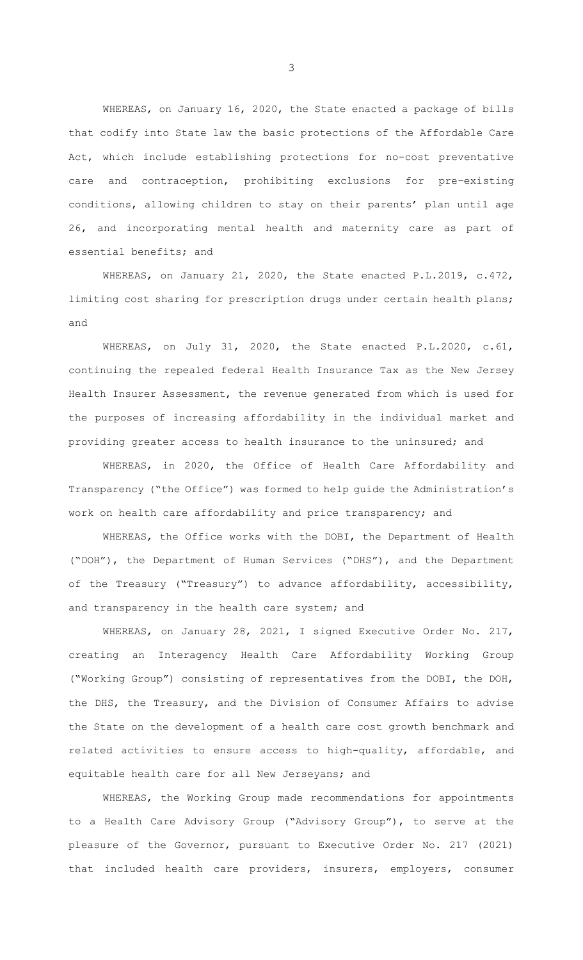WHEREAS, on January 16, 2020, the State enacted a package of bills that codify into State law the basic protections of the Affordable Care Act, which include establishing protections for no-cost preventative care and contraception, prohibiting exclusions for pre-existing conditions, allowing children to stay on their parents' plan until age 26, and incorporating mental health and maternity care as part of essential benefits; and

WHEREAS, on January 21, 2020, the State enacted P.L.2019, c.472, limiting cost sharing for prescription drugs under certain health plans; and

WHEREAS, on July 31, 2020, the State enacted P.L.2020, c.61, continuing the repealed federal Health Insurance Tax as the New Jersey Health Insurer Assessment, the revenue generated from which is used for the purposes of increasing affordability in the individual market and providing greater access to health insurance to the uninsured; and

WHEREAS, in 2020, the Office of Health Care Affordability and Transparency ("the Office") was formed to help guide the Administration's work on health care affordability and price transparency; and

WHEREAS, the Office works with the DOBI, the Department of Health ("DOH"), the Department of Human Services ("DHS"), and the Department of the Treasury ("Treasury") to advance affordability, accessibility, and transparency in the health care system; and

WHEREAS, on January 28, 2021, I signed Executive Order No. 217, creating an Interagency Health Care Affordability Working Group ("Working Group") consisting of representatives from the DOBI, the DOH, the DHS, the Treasury, and the Division of Consumer Affairs to advise the State on the development of a health care cost growth benchmark and related activities to ensure access to high-quality, affordable, and equitable health care for all New Jerseyans; and

WHEREAS, the Working Group made recommendations for appointments to a Health Care Advisory Group ("Advisory Group"), to serve at the pleasure of the Governor, pursuant to Executive Order No. 217 (2021) that included health care providers, insurers, employers, consumer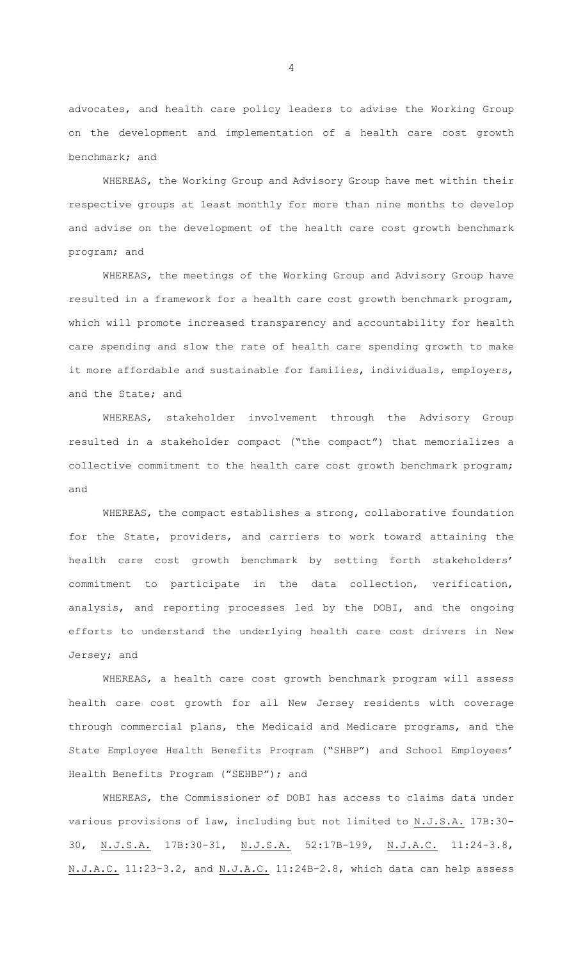advocates, and health care policy leaders to advise the Working Group on the development and implementation of a health care cost growth benchmark; and

WHEREAS, the Working Group and Advisory Group have met within their respective groups at least monthly for more than nine months to develop and advise on the development of the health care cost growth benchmark program; and

WHEREAS, the meetings of the Working Group and Advisory Group have resulted in a framework for a health care cost growth benchmark program, which will promote increased transparency and accountability for health care spending and slow the rate of health care spending growth to make it more affordable and sustainable for families, individuals, employers, and the State; and

WHEREAS, stakeholder involvement through the Advisory Group resulted in a stakeholder compact ("the compact") that memorializes a collective commitment to the health care cost growth benchmark program; and

WHEREAS, the compact establishes a strong, collaborative foundation for the State, providers, and carriers to work toward attaining the health care cost growth benchmark by setting forth stakeholders' commitment to participate in the data collection, verification, analysis, and reporting processes led by the DOBI, and the ongoing efforts to understand the underlying health care cost drivers in New Jersey; and

WHEREAS, a health care cost growth benchmark program will assess health care cost growth for all New Jersey residents with coverage through commercial plans, the Medicaid and Medicare programs, and the State Employee Health Benefits Program ("SHBP") and School Employees' Health Benefits Program ("SEHBP"); and

WHEREAS, the Commissioner of DOBI has access to claims data under various provisions of law, including but not limited to N.J.S.A. 17B:30- 30, N.J.S.A. 17B:30-31, N.J.S.A. 52:17B-199, N.J.A.C. 11:24-3.8, N.J.A.C. 11:23-3.2, and N.J.A.C. 11:24B-2.8, which data can help assess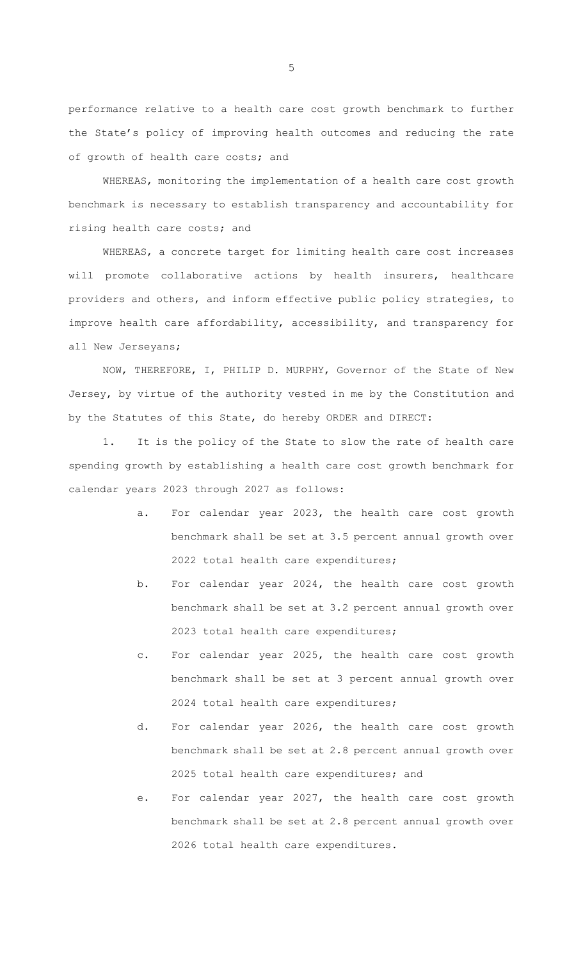performance relative to a health care cost growth benchmark to further the State's policy of improving health outcomes and reducing the rate of growth of health care costs; and

WHEREAS, monitoring the implementation of a health care cost growth benchmark is necessary to establish transparency and accountability for rising health care costs; and

WHEREAS, a concrete target for limiting health care cost increases will promote collaborative actions by health insurers, healthcare providers and others, and inform effective public policy strategies, to improve health care affordability, accessibility, and transparency for all New Jerseyans;

NOW, THEREFORE, I, PHILIP D. MURPHY, Governor of the State of New Jersey, by virtue of the authority vested in me by the Constitution and by the Statutes of this State, do hereby ORDER and DIRECT:

1. It is the policy of the State to slow the rate of health care spending growth by establishing a health care cost growth benchmark for calendar years 2023 through 2027 as follows:

- a. For calendar year 2023, the health care cost growth benchmark shall be set at 3.5 percent annual growth over 2022 total health care expenditures;
- b. For calendar year 2024, the health care cost growth benchmark shall be set at 3.2 percent annual growth over 2023 total health care expenditures;
- c. For calendar year 2025, the health care cost growth benchmark shall be set at 3 percent annual growth over 2024 total health care expenditures;
- d. For calendar year 2026, the health care cost growth benchmark shall be set at 2.8 percent annual growth over 2025 total health care expenditures; and
- e. For calendar year 2027, the health care cost growth benchmark shall be set at 2.8 percent annual growth over 2026 total health care expenditures.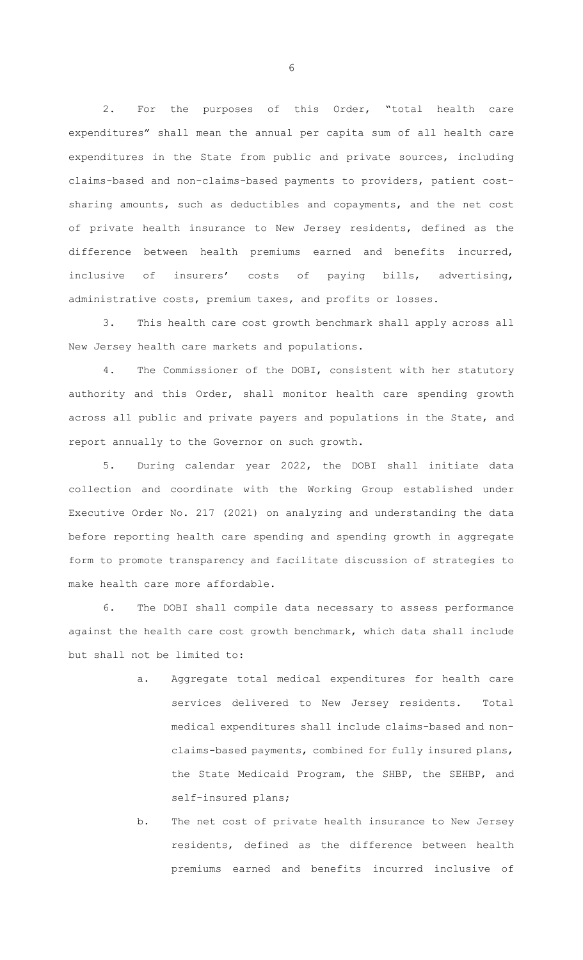2. For the purposes of this Order, "total health care expenditures" shall mean the annual per capita sum of all health care expenditures in the State from public and private sources, including claims-based and non-claims-based payments to providers, patient costsharing amounts, such as deductibles and copayments, and the net cost of private health insurance to New Jersey residents, defined as the difference between health premiums earned and benefits incurred, inclusive of insurers' costs of paying bills, advertising, administrative costs, premium taxes, and profits or losses.

3. This health care cost growth benchmark shall apply across all New Jersey health care markets and populations.

4. The Commissioner of the DOBI, consistent with her statutory authority and this Order, shall monitor health care spending growth across all public and private payers and populations in the State, and report annually to the Governor on such growth.

5. During calendar year 2022, the DOBI shall initiate data collection and coordinate with the Working Group established under Executive Order No. 217 (2021) on analyzing and understanding the data before reporting health care spending and spending growth in aggregate form to promote transparency and facilitate discussion of strategies to make health care more affordable.

6. The DOBI shall compile data necessary to assess performance against the health care cost growth benchmark, which data shall include but shall not be limited to:

- a. Aggregate total medical expenditures for health care services delivered to New Jersey residents. Total medical expenditures shall include claims-based and nonclaims-based payments, combined for fully insured plans, the State Medicaid Program, the SHBP, the SEHBP, and self-insured plans;
- b. The net cost of private health insurance to New Jersey residents, defined as the difference between health premiums earned and benefits incurred inclusive of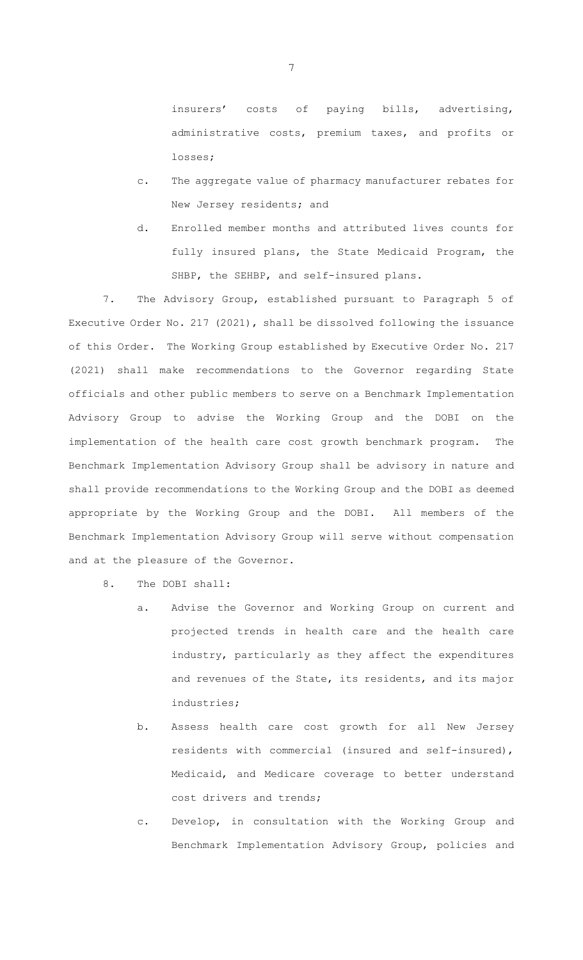insurers' costs of paying bills, advertising, administrative costs, premium taxes, and profits or losses;

- c. The aggregate value of pharmacy manufacturer rebates for New Jersey residents; and
- d. Enrolled member months and attributed lives counts for fully insured plans, the State Medicaid Program, the SHBP, the SEHBP, and self-insured plans.

7. The Advisory Group, established pursuant to Paragraph 5 of Executive Order No. 217 (2021), shall be dissolved following the issuance of this Order. The Working Group established by Executive Order No. 217 (2021) shall make recommendations to the Governor regarding State officials and other public members to serve on a Benchmark Implementation Advisory Group to advise the Working Group and the DOBI on the implementation of the health care cost growth benchmark program. The Benchmark Implementation Advisory Group shall be advisory in nature and shall provide recommendations to the Working Group and the DOBI as deemed appropriate by the Working Group and the DOBI. All members of the Benchmark Implementation Advisory Group will serve without compensation and at the pleasure of the Governor.

8. The DOBI shall:

- a. Advise the Governor and Working Group on current and projected trends in health care and the health care industry, particularly as they affect the expenditures and revenues of the State, its residents, and its major industries;
- b. Assess health care cost growth for all New Jersey residents with commercial (insured and self-insured), Medicaid, and Medicare coverage to better understand cost drivers and trends;
- c. Develop, in consultation with the Working Group and Benchmark Implementation Advisory Group, policies and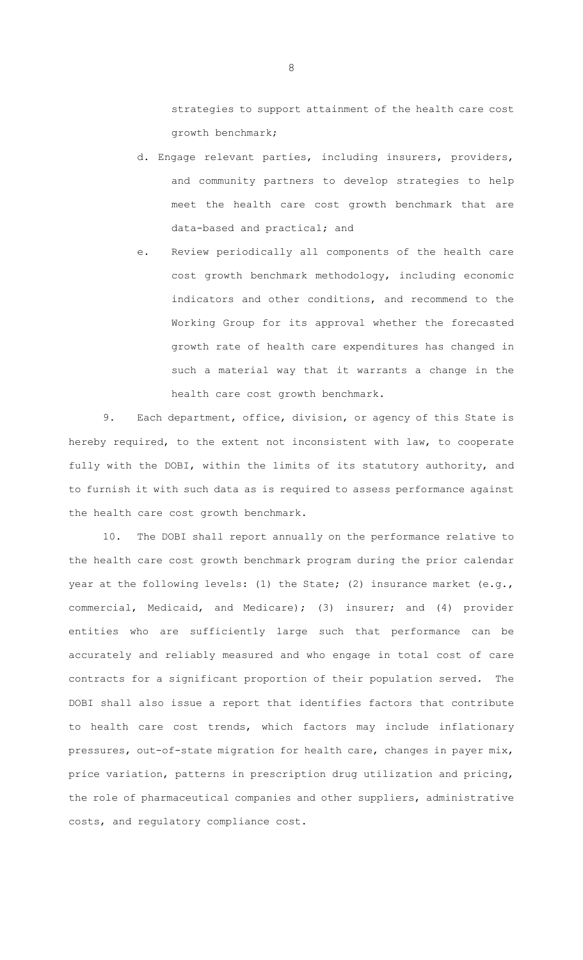strategies to support attainment of the health care cost growth benchmark;

- d. Engage relevant parties, including insurers, providers, and community partners to develop strategies to help meet the health care cost growth benchmark that are data-based and practical; and
- e. Review periodically all components of the health care cost growth benchmark methodology, including economic indicators and other conditions, and recommend to the Working Group for its approval whether the forecasted growth rate of health care expenditures has changed in such a material way that it warrants a change in the health care cost growth benchmark.

9. Each department, office, division, or agency of this State is hereby required, to the extent not inconsistent with law, to cooperate fully with the DOBI, within the limits of its statutory authority, and to furnish it with such data as is required to assess performance against the health care cost growth benchmark.

10. The DOBI shall report annually on the performance relative to the health care cost growth benchmark program during the prior calendar year at the following levels: (1) the State; (2) insurance market (e.g., commercial, Medicaid, and Medicare); (3) insurer; and (4) provider entities who are sufficiently large such that performance can be accurately and reliably measured and who engage in total cost of care contracts for a significant proportion of their population served. The DOBI shall also issue a report that identifies factors that contribute to health care cost trends, which factors may include inflationary pressures, out-of-state migration for health care, changes in payer mix, price variation, patterns in prescription drug utilization and pricing, the role of pharmaceutical companies and other suppliers, administrative costs, and regulatory compliance cost.